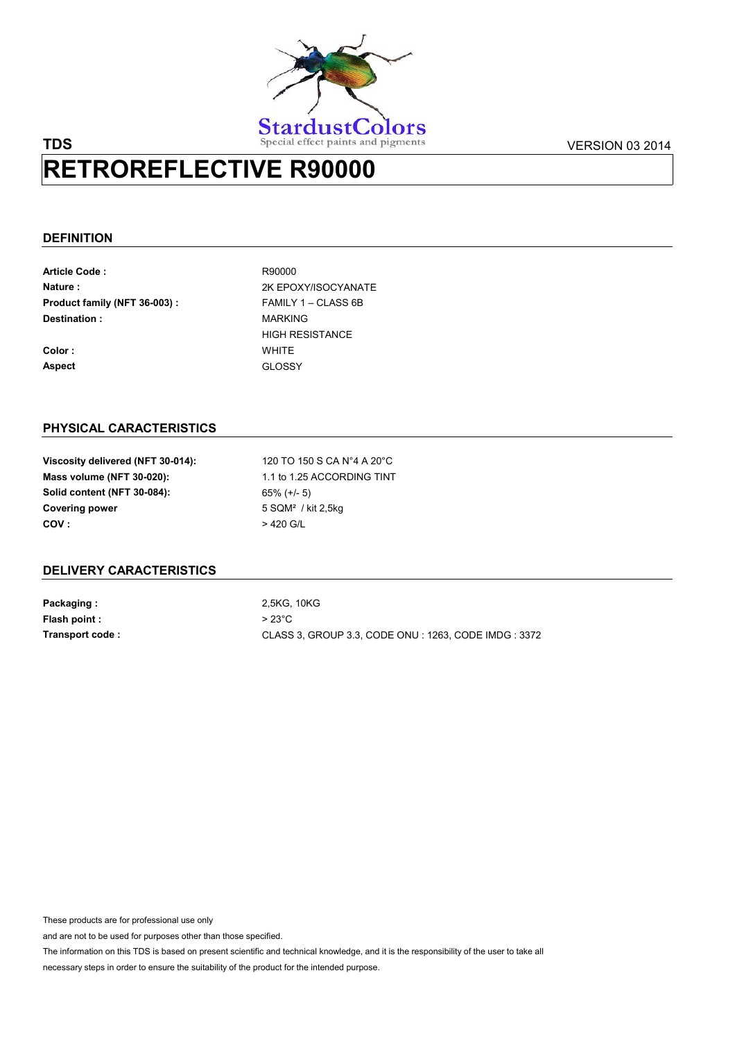

## **TDS** Special effect paints and pigments VERSION 03 2014 **RETROREFLECTIVE R90000**

## **DEFINITION**

| <b>Article Code:</b>          | R90000                 |
|-------------------------------|------------------------|
| Nature:                       | 2K EPOXY/ISOCYANATE    |
| Product family (NFT 36-003) : | FAMILY 1 - CLASS 6B    |
| Destination:                  | <b>MARKING</b>         |
|                               | <b>HIGH RESISTANCE</b> |
| Color:                        | WHITF                  |
| <b>Aspect</b>                 | GLOSSY                 |

## **PHYSICAL CARACTERISTICS**

| Viscosity delivered (NFT 30-014): |
|-----------------------------------|
| Mass volume (NFT 30-020):         |
| Solid content (NFT 30-084):       |
| <b>Covering power</b>             |
| COV:                              |

120 TO 150 S CA N°4 A 20°C 65% (+/- 5) 5 SQM² / kit 2,5kg > 420 G/L 1.1 to 1.25 ACCORDING TINT

## **DELIVERY CARACTERISTICS**

**Packaging : Flash point : Transport code :** 2,5KG, 10KG > 23°C CLASS 3, GROUP 3.3, CODE ONU : 1263, CODE IMDG : 3372

These products are for professional use only

and are not to be used for purposes other than those specified.

The information on this TDS is based on present scientific and technical knowledge, and it is the responsibility of the user to take all necessary steps in order to ensure the suitability of the product for the intended purpose.